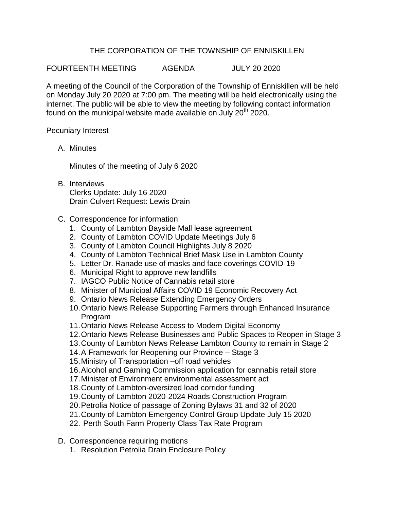## THE CORPORATION OF THE TOWNSHIP OF ENNISKILLEN

FOURTEENTH MEETING AGENDA JULY 20 2020

A meeting of the Council of the Corporation of the Township of Enniskillen will be held on Monday July 20 2020 at 7:00 pm. The meeting will be held electronically using the internet. The public will be able to view the meeting by following contact information found on the municipal website made available on July  $20<sup>th</sup>$  2020.

Pecuniary Interest

A. Minutes

Minutes of the meeting of July 6 2020

- B. Interviews Clerks Update: July 16 2020 Drain Culvert Request: Lewis Drain
- C. Correspondence for information
	- 1. County of Lambton Bayside Mall lease agreement
	- 2. County of Lambton COVID Update Meetings July 6
	- 3. County of Lambton Council Highlights July 8 2020
	- 4. County of Lambton Technical Brief Mask Use in Lambton County
	- 5. Letter Dr. Ranade use of masks and face coverings COVID-19
	- 6. Municipal Right to approve new landfills
	- 7. IAGCO Public Notice of Cannabis retail store
	- 8. Minister of Municipal Affairs COVID 19 Economic Recovery Act
	- 9. Ontario News Release Extending Emergency Orders
	- 10.Ontario News Release Supporting Farmers through Enhanced Insurance Program
	- 11.Ontario News Release Access to Modern Digital Economy
	- 12.Ontario News Release Businesses and Public Spaces to Reopen in Stage 3
	- 13.County of Lambton News Release Lambton County to remain in Stage 2
	- 14.A Framework for Reopening our Province Stage 3
	- 15.Ministry of Transportation –off road vehicles
	- 16.Alcohol and Gaming Commission application for cannabis retail store
	- 17.Minister of Environment environmental assessment act
	- 18.County of Lambton-oversized load corridor funding
	- 19.County of Lambton 2020-2024 Roads Construction Program
	- 20.Petrolia Notice of passage of Zoning Bylaws 31 and 32 of 2020
	- 21.County of Lambton Emergency Control Group Update July 15 2020
	- 22. Perth South Farm Property Class Tax Rate Program
- D. Correspondence requiring motions
	- 1. Resolution Petrolia Drain Enclosure Policy